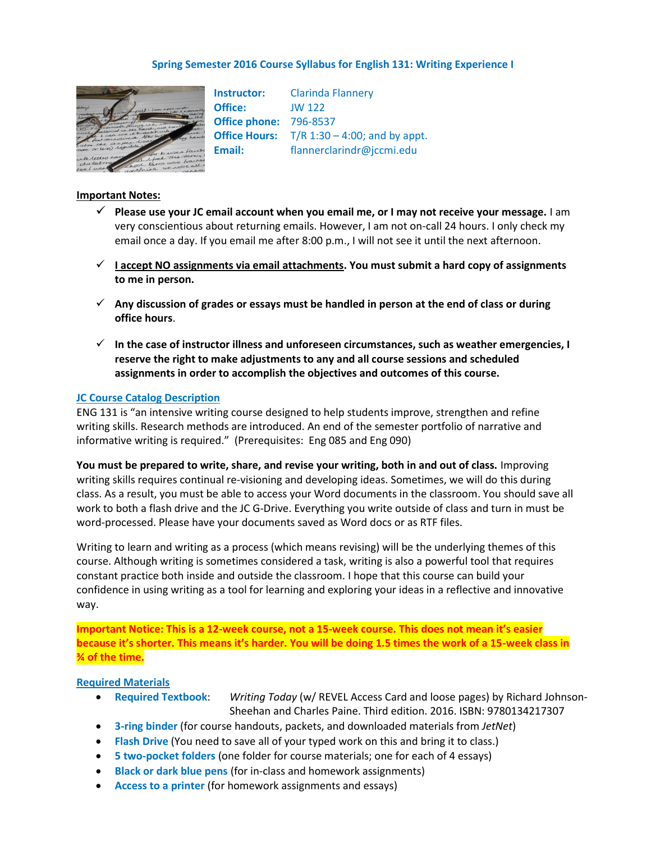## **Spring Semester 2016 Course Syllabus for English 131: Writing Experience I**



**Instructor:** Clarinda Flannery **Office:** JW 122 **Office phone:** 796-8537 **Office Hours:** T/R 1:30 – 4:00; and by appt. **Email:** flannerclarindr@jccmi.edu

## **Important Notes:**

- **Please use your JC email account when you email me, or I may not receive your message.** I am very conscientious about returning emails. However, I am not on-call 24 hours. I only check my email once a day. If you email me after 8:00 p.m., I will not see it until the next afternoon.
- $\checkmark$  1 accept NO assignments via email attachments. You must submit a hard copy of assignments **to me in person.**
- **Any discussion of grades or essays must be handled in person at the end of class or during office hours**.
- **In the case of instructor illness and unforeseen circumstances, such as weather emergencies, I reserve the right to make adjustments to any and all course sessions and scheduled assignments in order to accomplish the objectives and outcomes of this course.**

### **JC Course Catalog Description**

ENG 131 is "an intensive writing course designed to help students improve, strengthen and refine writing skills. Research methods are introduced. An end of the semester portfolio of narrative and informative writing is required." (Prerequisites: Eng 085 and Eng 090)

**You must be prepared to write, share, and revise your writing, both in and out of class.** Improving writing skills requires continual re-visioning and developing ideas. Sometimes, we will do this during class. As a result, you must be able to access your Word documents in the classroom. You should save all work to both a flash drive and the JC G-Drive. Everything you write outside of class and turn in must be word-processed. Please have your documents saved as Word docs or as RTF files.

Writing to learn and writing as a process (which means revising) will be the underlying themes of this course. Although writing is sometimes considered a task, writing is also a powerful tool that requires constant practice both inside and outside the classroom. I hope that this course can build your confidence in using writing as a tool for learning and exploring your ideas in a reflective and innovative way.

**Important Notice: This is a 12-week course, not a 15-week course. This does not mean it's easier because it's shorter. This means it's harder. You will be doing 1.5 times the work of a 15-week class in ¾ of the time.**

### **Required Materials**

- **Required Textbook**: *Writing Today* (w/ REVEL Access Card and loose pages) by Richard Johnson-Sheehan and Charles Paine. Third edition. 2016. ISBN: 9780134217307
- **3-ring binder** (for course handouts, packets, and downloaded materials from *JetNet*)
- **Flash Drive** (You need to save all of your typed work on this and bring it to class.)
- **5 two-pocket folders** (one folder for course materials; one for each of 4 essays)
- **Black or dark blue pens** (for in-class and homework assignments)
- **Access to a printer** (for homework assignments and essays)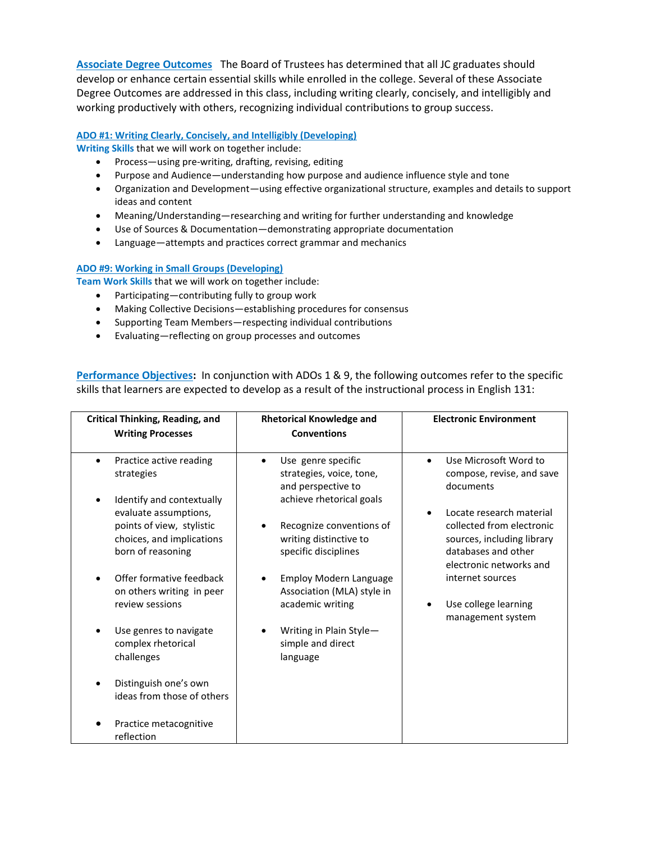**Associate Degree Outcomes** The Board of Trustees has determined that all JC graduates should develop or enhance certain essential skills while enrolled in the college. Several of these Associate Degree Outcomes are addressed in this class, including writing clearly, concisely, and intelligibly and working productively with others, recognizing individual contributions to group success.

## **ADO #1: Writing Clearly, Concisely, and Intelligibly (Developing)**

**Writing Skills** that we will work on together include:

- Process—using pre-writing, drafting, revising, editing
- Purpose and Audience—understanding how purpose and audience influence style and tone
- Organization and Development—using effective organizational structure, examples and details to support ideas and content
- Meaning/Understanding—researching and writing for further understanding and knowledge
- Use of Sources & Documentation—demonstrating appropriate documentation
- Language—attempts and practices correct grammar and mechanics

## **ADO #9: Working in Small Groups (Developing)**

**Team Work Skills** that we will work on together include:

- Participating—contributing fully to group work
- Making Collective Decisions—establishing procedures for consensus
- Supporting Team Members—respecting individual contributions
- Evaluating—reflecting on group processes and outcomes

**Performance Objectives:** In conjunction with ADOs 1 & 9, the following outcomes refer to the specific skills that learners are expected to develop as a result of the instructional process in English 131:

| <b>Critical Thinking, Reading, and</b>                                                               | <b>Rhetorical Knowledge and</b><br><b>Conventions</b>                                                         | <b>Electronic Environment</b>                                                                                                         |
|------------------------------------------------------------------------------------------------------|---------------------------------------------------------------------------------------------------------------|---------------------------------------------------------------------------------------------------------------------------------------|
| <b>Writing Processes</b>                                                                             |                                                                                                               |                                                                                                                                       |
| Practice active reading<br>$\bullet$<br>strategies<br>Identify and contextually<br>٠                 | Use genre specific<br>$\bullet$<br>strategies, voice, tone,<br>and perspective to<br>achieve rhetorical goals | Use Microsoft Word to<br>$\bullet$<br>compose, revise, and save<br>documents                                                          |
| evaluate assumptions,<br>points of view, stylistic<br>choices, and implications<br>born of reasoning | Recognize conventions of<br>writing distinctive to<br>specific disciplines                                    | Locate research material<br>collected from electronic<br>sources, including library<br>databases and other<br>electronic networks and |
| Offer formative feedback<br>on others writing in peer<br>review sessions                             | <b>Employ Modern Language</b><br>Association (MLA) style in<br>academic writing                               | internet sources<br>Use college learning<br>management system                                                                         |
| Use genres to navigate<br>complex rhetorical<br>challenges                                           | Writing in Plain Style-<br>simple and direct<br>language                                                      |                                                                                                                                       |
| Distinguish one's own<br>ideas from those of others                                                  |                                                                                                               |                                                                                                                                       |
| Practice metacognitive<br>reflection                                                                 |                                                                                                               |                                                                                                                                       |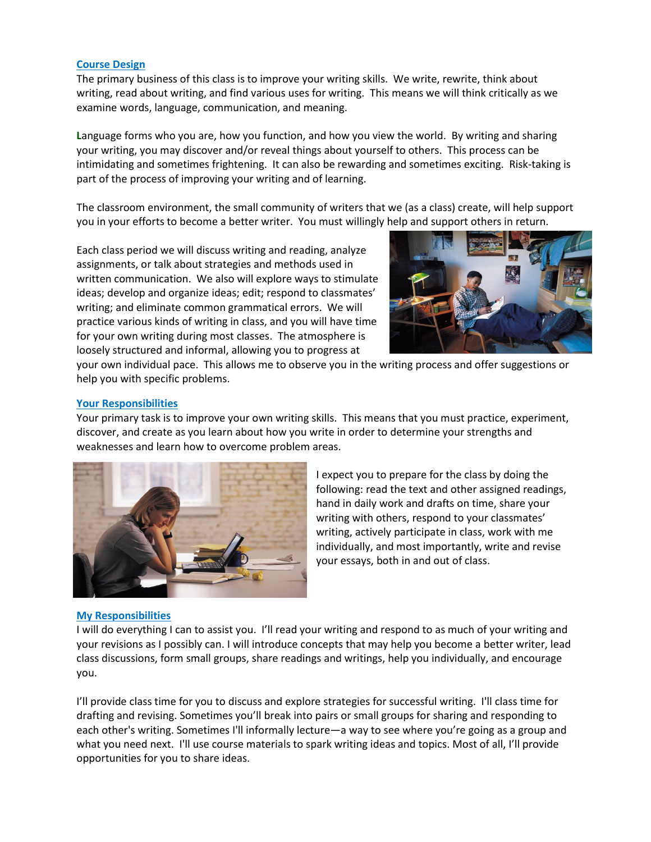## **Course Design**

The primary business of this class is to improve your writing skills. We write, rewrite, think about writing, read about writing, and find various uses for writing. This means we will think critically as we examine words, language, communication, and meaning.

**L**anguage forms who you are, how you function, and how you view the world. By writing and sharing your writing, you may discover and/or reveal things about yourself to others. This process can be intimidating and sometimes frightening. It can also be rewarding and sometimes exciting. Risk-taking is part of the process of improving your writing and of learning.

The classroom environment, the small community of writers that we (as a class) create, will help support you in your efforts to become a better writer. You must willingly help and support others in return.

Each class period we will discuss writing and reading, analyze assignments, or talk about strategies and methods used in written communication. We also will explore ways to stimulate ideas; develop and organize ideas; edit; respond to classmates' writing; and eliminate common grammatical errors. We will practice various kinds of writing in class, and you will have time for your own writing during most classes. The atmosphere is loosely structured and informal, allowing you to progress at



your own individual pace. This allows me to observe you in the writing process and offer suggestions or help you with specific problems.

## **Your Responsibilities**

Your primary task is to improve your own writing skills. This means that you must practice, experiment, discover, and create as you learn about how you write in order to determine your strengths and weaknesses and learn how to overcome problem areas.



I expect you to prepare for the class by doing the following: read the text and other assigned readings, hand in daily work and drafts on time, share your writing with others, respond to your classmates' writing, actively participate in class, work with me individually, and most importantly, write and revise your essays, both in and out of class.

## **My Responsibilities**

I will do everything I can to assist you. I'll read your writing and respond to as much of your writing and your revisions as I possibly can. I will introduce concepts that may help you become a better writer, lead class discussions, form small groups, share readings and writings, help you individually, and encourage you.

I'll provide class time for you to discuss and explore strategies for successful writing. I'll class time for drafting and revising. Sometimes you'll break into pairs or small groups for sharing and responding to each other's writing. Sometimes I'll informally lecture—a way to see where you're going as a group and what you need next. I'll use course materials to spark writing ideas and topics. Most of all, I'll provide opportunities for you to share ideas.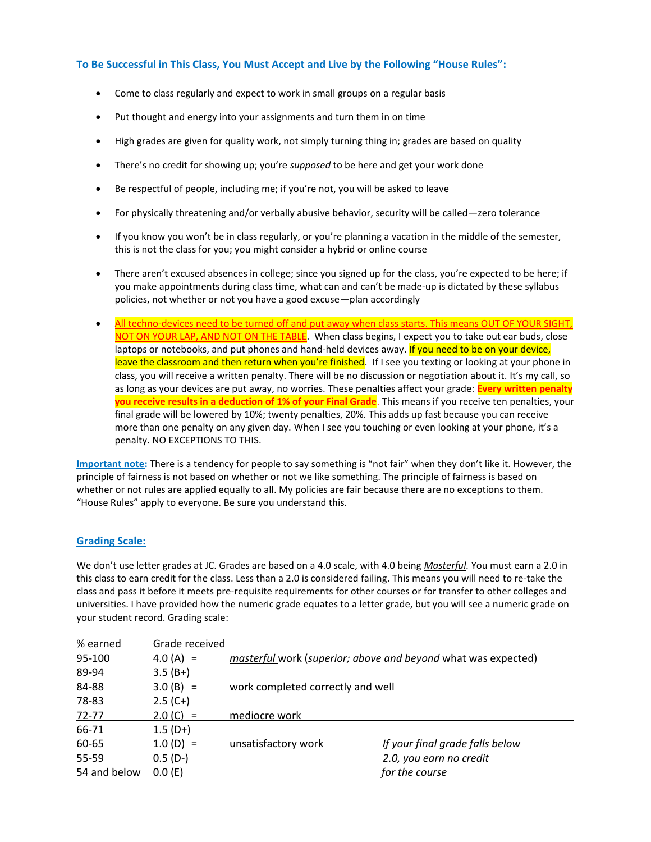## **To Be Successful in This Class, You Must Accept and Live by the Following "House Rules":**

- Come to class regularly and expect to work in small groups on a regular basis
- Put thought and energy into your assignments and turn them in on time
- High grades are given for quality work, not simply turning thing in; grades are based on quality
- There's no credit for showing up; you're *supposed* to be here and get your work done
- Be respectful of people, including me; if you're not, you will be asked to leave
- For physically threatening and/or verbally abusive behavior, security will be called—zero tolerance
- If you know you won't be in class regularly, or you're planning a vacation in the middle of the semester, this is not the class for you; you might consider a hybrid or online course
- There aren't excused absences in college; since you signed up for the class, you're expected to be here; if you make appointments during class time, what can and can't be made-up is dictated by these syllabus policies, not whether or not you have a good excuse—plan accordingly
- All techno-devices need to be turned off and put away when class starts. This means OUT OF YOUR SIGHT, NOT ON YOUR LAP, AND NOT ON THE TABLE. When class begins, I expect you to take out ear buds, close laptops or notebooks, and put phones and hand-held devices away. If you need to be on your device, leave the classroom and then return when you're finished. If I see you texting or looking at your phone in class, you will receive a written penalty. There will be no discussion or negotiation about it. It's my call, so as long as your devices are put away, no worries. These penalties affect your grade: **Every written penalty you receive results in a deduction of 1% of your Final Grade**. This means if you receive ten penalties, your final grade will be lowered by 10%; twenty penalties, 20%. This adds up fast because you can receive more than one penalty on any given day. When I see you touching or even looking at your phone, it's a penalty. NO EXCEPTIONS TO THIS.

**Important note:** There is a tendency for people to say something is "not fair" when they don't like it. However, the principle of fairness is not based on whether or not we like something. The principle of fairness is based on whether or not rules are applied equally to all. My policies are fair because there are no exceptions to them. "House Rules" apply to everyone. Be sure you understand this.

## **Grading Scale:**

We don't use letter grades at JC. Grades are based on a 4.0 scale, with 4.0 being *Masterful.* You must earn a 2.0 in this class to earn credit for the class. Less than a 2.0 is considered failing. This means you will need to re-take the class and pass it before it meets pre-requisite requirements for other courses or for transfer to other colleges and universities. I have provided how the numeric grade equates to a letter grade, but you will see a numeric grade on your student record. Grading scale:

| % earned     | Grade received |                                                               |                                 |
|--------------|----------------|---------------------------------------------------------------|---------------------------------|
| 95-100       | $4.0(A) =$     | masterful work (superior; above and beyond what was expected) |                                 |
| 89-94        | $3.5(B+)$      |                                                               |                                 |
| 84-88        | $3.0(B) =$     | work completed correctly and well                             |                                 |
| 78-83        | $2.5(C+)$      |                                                               |                                 |
| $72 - 77$    | $2.0 (C) =$    | mediocre work                                                 |                                 |
| 66-71        | $1.5(D+)$      |                                                               |                                 |
| 60-65        | $1.0(D) =$     | unsatisfactory work                                           | If your final grade falls below |
| 55-59        | $0.5(D-)$      |                                                               | 2.0, you earn no credit         |
| 54 and below | 0.0(E)         |                                                               | for the course                  |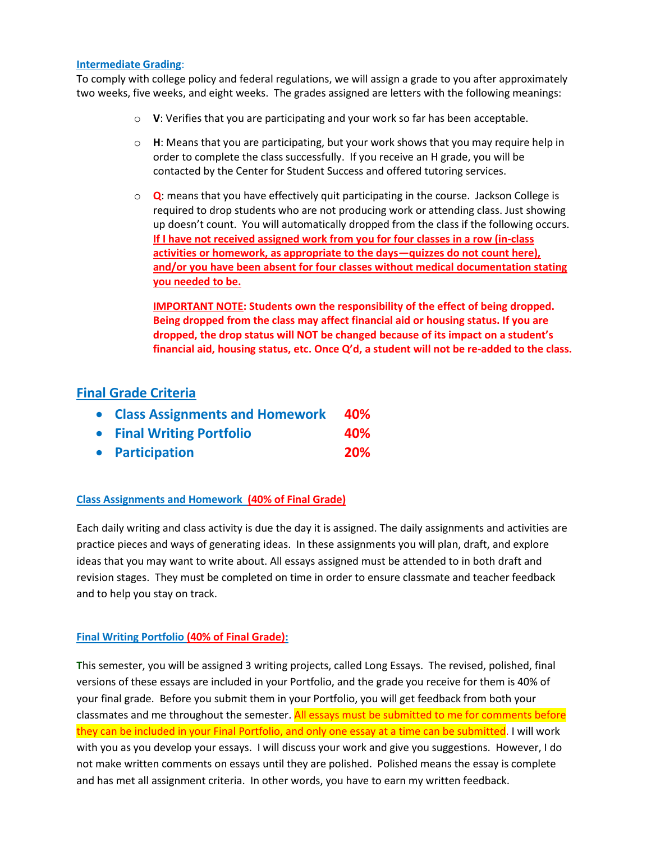## **Intermediate Grading**:

To comply with college policy and federal regulations, we will assign a grade to you after approximately two weeks, five weeks, and eight weeks. The grades assigned are letters with the following meanings:

- o **V**: Verifies that you are participating and your work so far has been acceptable.
- o **H**: Means that you are participating, but your work shows that you may require help in order to complete the class successfully. If you receive an H grade, you will be contacted by the Center for Student Success and offered tutoring services.
- o **Q**: means that you have effectively quit participating in the course. Jackson College is required to drop students who are not producing work or attending class. Just showing up doesn't count. You will automatically dropped from the class if the following occurs. **If I have not received assigned work from you for four classes in a row (in-class activities or homework, as appropriate to the days—quizzes do not count here), and/or you have been absent for four classes without medical documentation stating you needed to be.**

**IMPORTANT NOTE: Students own the responsibility of the effect of being dropped. Being dropped from the class may affect financial aid or housing status. If you are dropped, the drop status will NOT be changed because of its impact on a student's financial aid, housing status, etc. Once Q'd, a student will not be re-added to the class.**

## **Final Grade Criteria**

| • Class Assignments and Homework 40% |     |
|--------------------------------------|-----|
| • Final Writing Portfolio            | 40% |

**Participation 20%** 

## **Class Assignments and Homework (40% of Final Grade)**

Each daily writing and class activity is due the day it is assigned. The daily assignments and activities are practice pieces and ways of generating ideas. In these assignments you will plan, draft, and explore ideas that you may want to write about. All essays assigned must be attended to in both draft and revision stages. They must be completed on time in order to ensure classmate and teacher feedback and to help you stay on track.

## **Final Writing Portfolio (40% of Final Grade):**

**T**his semester, you will be assigned 3 writing projects, called Long Essays. The revised, polished, final versions of these essays are included in your Portfolio, and the grade you receive for them is 40% of your final grade. Before you submit them in your Portfolio, you will get feedback from both your classmates and me throughout the semester. All essays must be submitted to me for comments before they can be included in your Final Portfolio, and only one essay at a time can be submitted. I will work with you as you develop your essays. I will discuss your work and give you suggestions. However, I do not make written comments on essays until they are polished. Polished means the essay is complete and has met all assignment criteria. In other words, you have to earn my written feedback.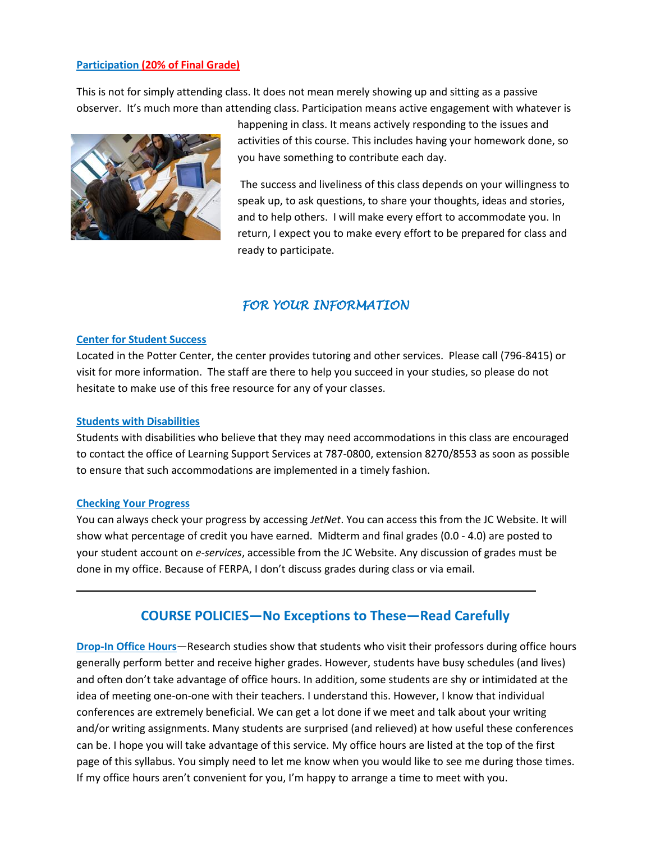## **Participation (20% of Final Grade)**

This is not for simply attending class. It does not mean merely showing up and sitting as a passive observer. It's much more than attending class. Participation means active engagement with whatever is



happening in class. It means actively responding to the issues and activities of this course. This includes having your homework done, so you have something to contribute each day.

The success and liveliness of this class depends on your willingness to speak up, to ask questions, to share your thoughts, ideas and stories, and to help others. I will make every effort to accommodate you. In return, I expect you to make every effort to be prepared for class and ready to participate.

## *FOR YOUR INFORMATION*

## **Center for Student Success**

Located in the Potter Center, the center provides tutoring and other services. Please call (796-8415) or visit for more information. The staff are there to help you succeed in your studies, so please do not hesitate to make use of this free resource for any of your classes.

## **Students with Disabilities**

Students with disabilities who believe that they may need accommodations in this class are encouraged to contact the office of Learning Support Services at 787-0800, extension 8270/8553 as soon as possible to ensure that such accommodations are implemented in a timely fashion.

### **Checking Your Progress**

You can always check your progress by accessing *JetNet*. You can access this from the JC Website. It will show what percentage of credit you have earned. Midterm and final grades (0.0 - 4.0) are posted to your student account on *e-services*, accessible from the JC Website. Any discussion of grades must be done in my office. Because of FERPA, I don't discuss grades during class or via email.

## **COURSE POLICIES—No Exceptions to These—Read Carefully**

**Drop-In Office Hours**—Research studies show that students who visit their professors during office hours generally perform better and receive higher grades. However, students have busy schedules (and lives) and often don't take advantage of office hours. In addition, some students are shy or intimidated at the idea of meeting one-on-one with their teachers. I understand this. However, I know that individual conferences are extremely beneficial. We can get a lot done if we meet and talk about your writing and/or writing assignments. Many students are surprised (and relieved) at how useful these conferences can be. I hope you will take advantage of this service. My office hours are listed at the top of the first page of this syllabus. You simply need to let me know when you would like to see me during those times. If my office hours aren't convenient for you, I'm happy to arrange a time to meet with you.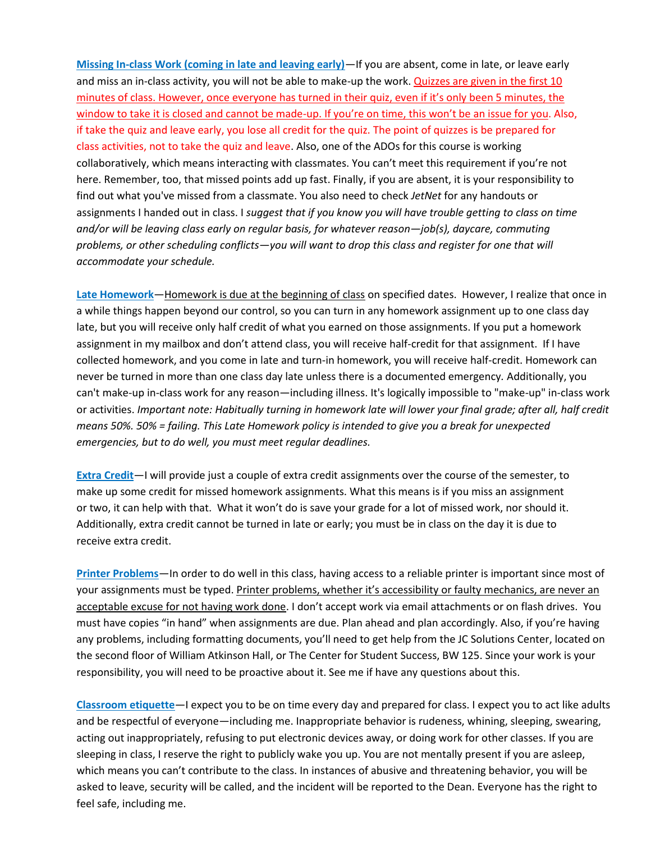**Missing In-class Work (coming in late and leaving early)**—If you are absent, come in late, or leave early and miss an in-class activity, you will not be able to make-up the work. Quizzes are given in the first 10 minutes of class. However, once everyone has turned in their quiz, even if it's only been 5 minutes, the window to take it is closed and cannot be made-up. If you're on time, this won't be an issue for you. Also, if take the quiz and leave early, you lose all credit for the quiz. The point of quizzes is be prepared for class activities, not to take the quiz and leave. Also, one of the ADOs for this course is working collaboratively, which means interacting with classmates. You can't meet this requirement if you're not here. Remember, too, that missed points add up fast. Finally, if you are absent, it is your responsibility to find out what you've missed from a classmate. You also need to check *JetNet* for any handouts or assignments I handed out in class. I *suggest that if you know you will have trouble getting to class on time and/or will be leaving class early on regular basis, for whatever reason—job(s), daycare, commuting problems, or other scheduling conflicts—you will want to drop this class and register for one that will accommodate your schedule.*

**Late Homework**—Homework is due at the beginning of class on specified dates. However, I realize that once in a while things happen beyond our control, so you can turn in any homework assignment up to one class day late, but you will receive only half credit of what you earned on those assignments. If you put a homework assignment in my mailbox and don't attend class, you will receive half-credit for that assignment. If I have collected homework, and you come in late and turn-in homework, you will receive half-credit. Homework can never be turned in more than one class day late unless there is a documented emergency*.* Additionally, you can't make-up in-class work for any reason—including illness. It's logically impossible to "make-up" in-class work or activities. *Important note: Habitually turning in homework late will lower your final grade; after all, half credit means 50%. 50% = failing. This Late Homework policy is intended to give you a break for unexpected emergencies, but to do well, you must meet regular deadlines.*

**Extra Credit**—I will provide just a couple of extra credit assignments over the course of the semester, to make up some credit for missed homework assignments. What this means is if you miss an assignment or two, it can help with that. What it won't do is save your grade for a lot of missed work, nor should it. Additionally, extra credit cannot be turned in late or early; you must be in class on the day it is due to receive extra credit.

**Printer Problems**—In order to do well in this class, having access to a reliable printer is important since most of your assignments must be typed. Printer problems, whether it's accessibility or faulty mechanics, are never an acceptable excuse for not having work done. I don't accept work via email attachments or on flash drives. You must have copies "in hand" when assignments are due. Plan ahead and plan accordingly. Also, if you're having any problems, including formatting documents, you'll need to get help from the JC Solutions Center, located on the second floor of William Atkinson Hall, or The Center for Student Success, BW 125. Since your work is your responsibility, you will need to be proactive about it. See me if have any questions about this.

**Classroom etiquette**—I expect you to be on time every day and prepared for class. I expect you to act like adults and be respectful of everyone—including me. Inappropriate behavior is rudeness, whining, sleeping, swearing, acting out inappropriately, refusing to put electronic devices away, or doing work for other classes. If you are sleeping in class, I reserve the right to publicly wake you up. You are not mentally present if you are asleep, which means you can't contribute to the class. In instances of abusive and threatening behavior, you will be asked to leave, security will be called, and the incident will be reported to the Dean. Everyone has the right to feel safe, including me.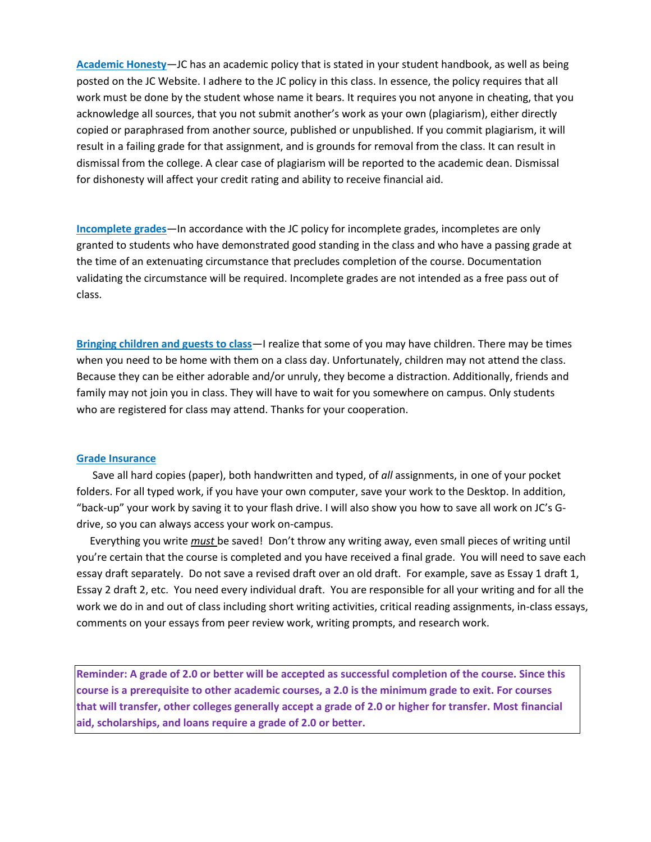**Academic Honesty**—JC has an academic policy that is stated in your student handbook, as well as being posted on the JC Website. I adhere to the JC policy in this class. In essence, the policy requires that all work must be done by the student whose name it bears. It requires you not anyone in cheating, that you acknowledge all sources, that you not submit another's work as your own (plagiarism), either directly copied or paraphrased from another source, published or unpublished. If you commit plagiarism, it will result in a failing grade for that assignment, and is grounds for removal from the class. It can result in dismissal from the college. A clear case of plagiarism will be reported to the academic dean. Dismissal for dishonesty will affect your credit rating and ability to receive financial aid.

**Incomplete grades**—In accordance with the JC policy for incomplete grades, incompletes are only granted to students who have demonstrated good standing in the class and who have a passing grade at the time of an extenuating circumstance that precludes completion of the course. Documentation validating the circumstance will be required. Incomplete grades are not intended as a free pass out of class.

**Bringing children and guests to class**—I realize that some of you may have children. There may be times when you need to be home with them on a class day. Unfortunately, children may not attend the class. Because they can be either adorable and/or unruly, they become a distraction. Additionally, friends and family may not join you in class. They will have to wait for you somewhere on campus. Only students who are registered for class may attend. Thanks for your cooperation.

### **Grade Insurance**

 Save all hard copies (paper), both handwritten and typed, of *all* assignments, in one of your pocket folders. For all typed work, if you have your own computer, save your work to the Desktop. In addition, "back-up" your work by saving it to your flash drive. I will also show you how to save all work on JC's Gdrive, so you can always access your work on-campus.

 Everything you write *must* be saved! Don't throw any writing away, even small pieces of writing until you're certain that the course is completed and you have received a final grade. You will need to save each essay draft separately. Do not save a revised draft over an old draft. For example, save as Essay 1 draft 1, Essay 2 draft 2, etc. You need every individual draft. You are responsible for all your writing and for all the work we do in and out of class including short writing activities, critical reading assignments, in-class essays, comments on your essays from peer review work, writing prompts, and research work.

**Reminder: A grade of 2.0 or better will be accepted as successful completion of the course. Since this course is a prerequisite to other academic courses, a 2.0 is the minimum grade to exit. For courses that will transfer, other colleges generally accept a grade of 2.0 or higher for transfer. Most financial aid, scholarships, and loans require a grade of 2.0 or better.**